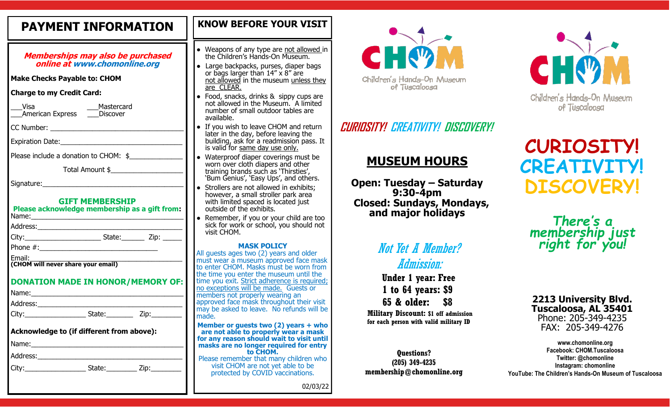# **PAYMENT INFORMATION**

**Memberships may also be purchased online at www.chomonline.org**

**Make Checks Payable to: CHOM** 

**Charge to my Credit Card:** 

| Visa                    | Mastercard |
|-------------------------|------------|
| <b>American Express</b> | Discover   |

CC Number:

Expiration Date:

Please include a donation to CHOM: \$

Total Amount \$\_\_\_\_\_\_\_\_\_\_\_\_\_\_\_\_\_\_\_

Signature:

#### **GIFT MEMBERSHIP**

| Please acknowledge membership as a gift from:<br>Name: |                                             |  |
|--------------------------------------------------------|---------------------------------------------|--|
| Address:                                               |                                             |  |
| City:                                                  | State: $\qquad \qquad$ Zip: $\qquad \qquad$ |  |
| Phone $#$ :                                            |                                             |  |
| Email:<br>(CHOM will never share your email)           |                                             |  |

**DONATION MADE IN HONOR/MEMORY OF:**

| Name:                                     |        |      |  |  |
|-------------------------------------------|--------|------|--|--|
| Address:__                                |        |      |  |  |
|                                           | State: | Zip: |  |  |
|                                           |        |      |  |  |
| Acknowledge to (if different from above): |        |      |  |  |
| Name:                                     |        |      |  |  |
| Address:                                  |        |      |  |  |

City: City: City: City: City: 2ip:

| <b>KNOW BEFORE YOUR VISIT</b> |  |
|-------------------------------|--|
|                               |  |

- • Weapons of any type are not allowed in the Children's Hands-On Museum.
- Large backpacks, purses, diaper bags or bags larger than 14" x 8" are not allowed in the museum unless they are **CLEAR**.
- Food, snacks, drinks & sippy cups are not allowed in the Museum. A limited number of small outdoor tables are available.
- If you wish to leave CHOM and return later in the day, before leaving the building, ask for a readmission pass. It is valid for same day use only.
- Waterproof diaper coverings must be worn over cloth diapers and other training brands such as 'Thirsties', 'Bum Genius', 'Easy Ups', and others.
- *●* Strollers are not allowed in exhibits; however, a small stroller park area with limited spaced is located just outside of the exhibits.
- Remember, if you or your child are too sick for work or school, you should not visit CHOM.

#### **MASK POLICY**

All guests ages two (2) years and older must wear a museum approved face mask to enter CHOM. Masks must be worn from the time you enter the museum until the time you exit. Strict adherence is required; no exceptions will be made. Guests or members not properly wearing an approved face mask throughout their visit may be asked to leave. No refunds will be made.

**Member or guests two (2) years + who are not able to properly wear a mask for any reason should wait to visit until masks are no longer required for entry to CHOM.**  Please remember that many children who visit CHOM are not yet able to be protected by COVID vaccinations.



# **CURIOSITY! CREATIVITY! DISCOVERY!**

# **MUSEUM HOURS**

**Open: Tuesday – Saturday 9:30-4pm Closed: Sundays, Mondays, and major holidays**

# Not Yet A Member? Admission:

**Under 1 year: Free 1 to 64 years: \$9 65 & older: \$8** 

**Military Discount: \$1 off admission for each person with valid military ID**

**Questions? (205) 349-4235 membership@chomonline.org**



# **CURIOSITY! CREATIVITY! DISCOVERY!**

*There' s a membership just right for you!* 

#### **2213 University Blvd. Tuscaloosa, AL 35401** Phone: 205-349-4235 FAX: 205-349-4276

**www.chomonline.org Facebook: CHOM.Tuscaloosa Twitter: @chomonline Instagram: chomonline YouTube: The Children's Hands-On Museum of Tuscaloosa**